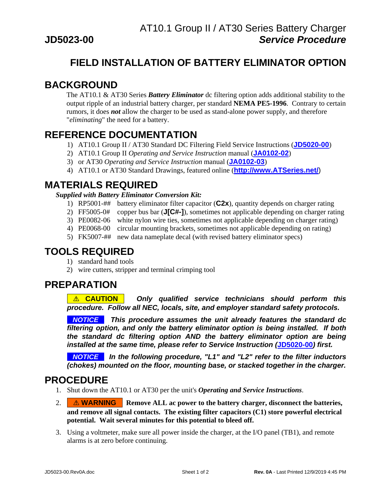## **FIELD INSTALLATION OF BATTERY ELIMINATOR OPTION**

# **BACKGROUND**

The AT10.1 & AT30 Series *Battery Eliminator* dc filtering option adds additional stability to the output ripple of an industrial battery charger, per standard **NEMA PE5-1996**. Contrary to certain rumors, it does *not* allow the charger to be used as stand-alone power supply, and therefore "*eliminating*" the need for a battery.

### **REFERENCE DOCUMENTATION**

- 1) AT10.1 Group II / AT30 Standard DC Filtering Field Service Instructions (**[JD5020-00](http://www.atseries.net/PDFs/JD5020-00.pdf)**)
- 2) AT10.1 Group II *Operating and Service Instruction* manual (**[JA0102-02](http://www.atseries.net/PDFs/JA0102-02.pdf)**)
- 3) or AT30 *Operating and Service Instruction* manual (**[JA0102-03](http://www.atseries.net/PDFs/JA0102-03.pdf)**)
- 4) AT10.1 or AT30 Standard Drawings, featured online (**[http://www.ATSeries.net/](http://www.atseries.net/)**)

# **MATERIALS REQUIRED**

#### *Supplied with Battery Eliminator Conversion Kit:*

- 1) RP5001-## battery eliminator filter capacitor (**C2x**), quantity depends on charger rating
- 2) FF5005-0# copper bus bar (**J[C#-]**), sometimes not applicable depending on charger rating
- 3) PE0082-06 white nylon wire ties, sometimes not applicable depending on charger rating)
- 4) PE0068-00 circular mounting brackets, sometimes not applicable depending on rating)
- 5) FK5007-## new data nameplate decal (with revised battery eliminator specs)

#### **TOOLS REQUIRED**

- 1) standard hand tools
- 2) wire cutters, stripper and terminal crimping tool

# **PREPARATION**

**...**! **CAUTION**... *Only qualified service technicians should perform this procedure. Follow all NEC, locals, site, and employer standard safety protocols.* 

**...***NOTICE***...** *This procedure assumes the unit already features the standard dc filtering option, and only the battery eliminator option is being installed. If both the standard dc filtering option AND the battery eliminator option are being installed at the same time, please refer to Service Instruction (***[JD5020-00](http://www.atseries.net/PDFs/JD5020-00.pdf)***) first.* 

**...***NOTICE***...** *In the following procedure, "L1" and "L2" refer to the filter inductors (chokes) mounted on the floor, mounting base, or stacked together in the charger.* 

### **PROCEDURE**

- 1. Shut down the AT10.1 or AT30 per the unit's *Operating and Service Instructions*.
- 2. **MARNING** Remove ALL ac power to the battery charger, disconnect the batteries, **and remove all signal contacts. The existing filter capacitors (C1) store powerful electrical potential. Wait several minutes for this potential to bleed off.**
- 3. Using a voltmeter, make sure all power inside the charger, at the I/O panel (TB1), and remote alarms is at zero before continuing.